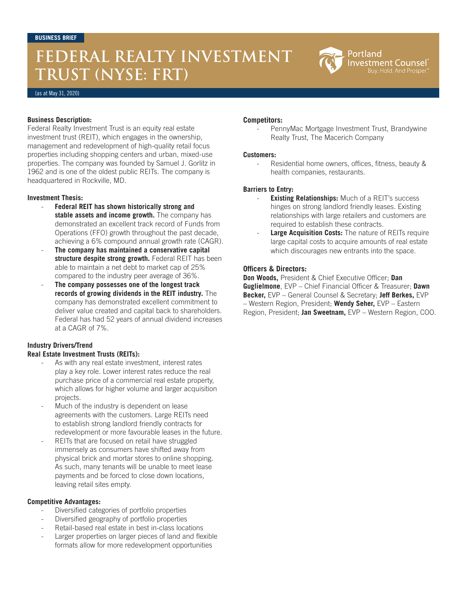## **FEDERAL REALTY INVESTMENT TRUST (NYSE: FRT)**



#### (as at May 31, 2020)

#### **Business Description:**

Federal Realty Investment Trust is an equity real estate investment trust (REIT), which engages in the ownership, management and redevelopment of high-quality retail focus properties including shopping centers and urban, mixed-use properties. The company was founded by Samuel J. Gorlitz in 1962 and is one of the oldest public REITs. The company is headquartered in Rockville, MD.

#### **Investment Thesis:**

- **Federal REIT has shown historically strong and stable assets and income growth.** The company has demonstrated an excellent track record of Funds from Operations (FFO) growth throughout the past decade, achieving a 6% compound annual growth rate (CAGR).
- **The company has maintained a conservative capital structure despite strong growth.** Federal REIT has been able to maintain a net debt to market cap of 25% compared to the industry peer average of 36%.
- The company possesses one of the longest track **records of growing dividends in the REIT industry.** The company has demonstrated excellent commitment to deliver value created and capital back to shareholders. Federal has had 52 years of annual dividend increases at a CAGR of 7%.

## **Industry Drivers/Trend**

## **Real Estate Investment Trusts (REITs):**

- As with any real estate investment, interest rates play a key role. Lower interest rates reduce the real purchase price of a commercial real estate property, which allows for higher volume and larger acquisition projects.
- Much of the industry is dependent on lease agreements with the customers. Large REITs need to establish strong landlord friendly contracts for redevelopment or more favourable leases in the future.
- REITs that are focused on retail have struggled immensely as consumers have shifted away from physical brick and mortar stores to online shopping. As such, many tenants will be unable to meet lease payments and be forced to close down locations, leaving retail sites empty.

#### **Competitive Advantages:**

- Diversified categories of portfolio properties
- Diversified geography of portfolio properties
- Retail-based real estate in best in-class locations
- Larger properties on larger pieces of land and flexible formats allow for more redevelopment opportunities

#### **Competitors:**

PennyMac Mortgage Investment Trust, Brandywine Realty Trust, The Macerich Company

#### **Customers:**

Residential home owners, offices, fitness, beauty & health companies, restaurants.

### **Barriers to Entry:**

- **Existing Relationships:** Much of a REIT's success hinges on strong landlord friendly leases. Existing relationships with large retailers and customers are required to establish these contracts.
- **Large Acquisition Costs:** The nature of REITs require large capital costs to acquire amounts of real estate which discourages new entrants into the space.

#### **Officers & Directors:**

**Don Woods,** President & Chief Executive Officer; **Dan Guglielmone**, EVP – Chief Financial Officer & Treasurer; **Dawn Becker,** EVP – General Counsel & Secretary; **Jeff Berkes,** EVP – Western Region, President; **Wendy Seher,** EVP – Eastern Region, President; **Jan Sweetnam,** EVP – Western Region, COO.